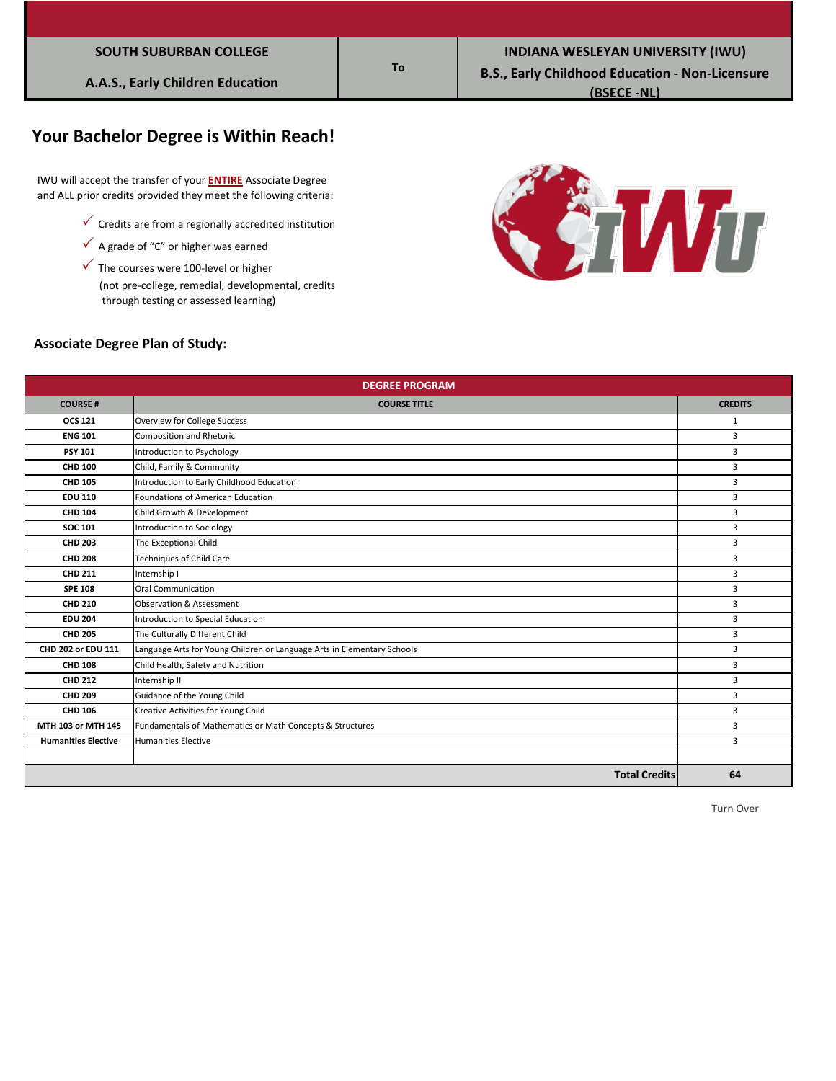| <b>SOUTH SUBURBAN COLLEGE</b> |  |  |
|-------------------------------|--|--|
|                               |  |  |

# **Your Bachelor Degree is Within Reach!**

 IWU will accept the transfer of your **ENTIRE** Associate Degree and ALL prior credits provided they meet the following criteria:

- $\checkmark$  Credits are from a regionally accredited institution
- $\checkmark$  A grade of "C" or higher was earned
- $\checkmark$  The courses were 100-level or higher

 (not pre-college, remedial, developmental, credits through testing or assessed learning)



#### **Associate Degree Plan of Study:**

| <b>DEGREE PROGRAM</b>      |                                                                         |                |  |
|----------------------------|-------------------------------------------------------------------------|----------------|--|
| <b>COURSE#</b>             | <b>COURSE TITLE</b>                                                     | <b>CREDITS</b> |  |
| <b>OCS 121</b>             | Overview for College Success                                            | 1              |  |
| <b>ENG 101</b>             | <b>Composition and Rhetoric</b>                                         | 3              |  |
| <b>PSY 101</b>             | Introduction to Psychology                                              | 3              |  |
| <b>CHD 100</b>             | Child, Family & Community                                               | 3              |  |
| <b>CHD 105</b>             | Introduction to Early Childhood Education                               | 3              |  |
| <b>EDU 110</b>             | Foundations of American Education                                       | 3              |  |
| <b>CHD 104</b>             | Child Growth & Development                                              | 3              |  |
| <b>SOC 101</b>             | Introduction to Sociology                                               | 3              |  |
| <b>CHD 203</b>             | The Exceptional Child                                                   | 3              |  |
| <b>CHD 208</b>             | Techniques of Child Care                                                | 3              |  |
| <b>CHD 211</b>             | Internship I                                                            | $\overline{3}$ |  |
| <b>SPE 108</b>             | <b>Oral Communication</b>                                               | $\overline{3}$ |  |
| <b>CHD 210</b>             | <b>Observation &amp; Assessment</b>                                     | 3              |  |
| <b>EDU 204</b>             | Introduction to Special Education                                       | 3              |  |
| <b>CHD 205</b>             | The Culturally Different Child                                          | 3              |  |
| CHD 202 or EDU 111         | Language Arts for Young Children or Language Arts in Elementary Schools | 3              |  |
| <b>CHD 108</b>             | Child Health, Safety and Nutrition                                      | 3              |  |
| <b>CHD 212</b>             | Internship II                                                           | 3              |  |
| <b>CHD 209</b>             | Guidance of the Young Child                                             | 3              |  |
| <b>CHD 106</b>             | Creative Activities for Young Child                                     | 3              |  |
| MTH 103 or MTH 145         | Fundamentals of Mathematics or Math Concepts & Structures               | 3              |  |
| <b>Humanities Elective</b> | <b>Humanities Elective</b>                                              | 3              |  |
|                            |                                                                         |                |  |
|                            | <b>Total Credits</b>                                                    | 64             |  |

**To**